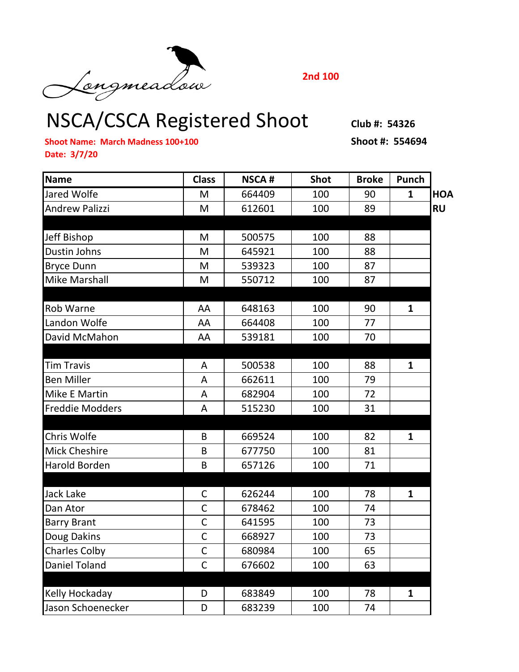NSCA/CSCA Registered Shoot **Club #: 54326**

**2nd 100**

**Shoot Name: March Madness 100+100 Shoot #: 554694 Date: 3/7/20**

| <b>Name</b>            | <b>Class</b>   | <b>NSCA#</b> | <b>Shot</b> | <b>Broke</b> | Punch        |           |
|------------------------|----------------|--------------|-------------|--------------|--------------|-----------|
| Jared Wolfe            | M              | 664409       | 100         | 90           | $\mathbf{1}$ | HOA       |
| <b>Andrew Palizzi</b>  | M              | 612601       | 100         | 89           |              | <b>RU</b> |
|                        |                |              |             |              |              |           |
| <b>Jeff Bishop</b>     | M              | 500575       | 100         | 88           |              |           |
| Dustin Johns           | M              | 645921       | 100         | 88           |              |           |
| <b>Bryce Dunn</b>      | M              | 539323       | 100         | 87           |              |           |
| <b>Mike Marshall</b>   | M              | 550712       | 100         | 87           |              |           |
|                        |                |              |             |              |              |           |
| <b>Rob Warne</b>       | AA             | 648163       | 100         | 90           | $\mathbf{1}$ |           |
| Landon Wolfe           | AA             | 664408       | 100         | 77           |              |           |
| David McMahon          | AA             | 539181       | 100         | 70           |              |           |
|                        |                |              |             |              |              |           |
| <b>Tim Travis</b>      | A              | 500538       | 100         | 88           | $\mathbf{1}$ |           |
| <b>Ben Miller</b>      | A              | 662611       | 100         | 79           |              |           |
| Mike E Martin          | A              | 682904       | 100         | 72           |              |           |
| <b>Freddie Modders</b> | $\overline{A}$ | 515230       | 100         | 31           |              |           |
|                        |                |              |             |              |              |           |
| Chris Wolfe            | B              | 669524       | 100         | 82           | $\mathbf{1}$ |           |
| <b>Mick Cheshire</b>   | B              | 677750       | 100         | 81           |              |           |
| <b>Harold Borden</b>   | B              | 657126       | 100         | 71           |              |           |
|                        |                |              |             |              |              |           |
| <b>Jack Lake</b>       | $\mathsf C$    | 626244       | 100         | 78           | $\mathbf{1}$ |           |
| Dan Ator               | $\mathsf C$    | 678462       | 100         | 74           |              |           |
| <b>Barry Brant</b>     | $\overline{C}$ | 641595       | 100         | 73           |              |           |
| Doug Dakins            | $\mathsf{C}$   | 668927       | 100         | 73           |              |           |
| <b>Charles Colby</b>   | $\overline{C}$ | 680984       | 100         | 65           |              |           |
| <b>Daniel Toland</b>   | $\mathsf{C}$   | 676602       | 100         | 63           |              |           |
|                        |                |              |             |              |              |           |
| Kelly Hockaday         | D              | 683849       | 100         | 78           | $\mathbf{1}$ |           |
| Jason Schoenecker      | D              | 683239       | 100         | 74           |              |           |